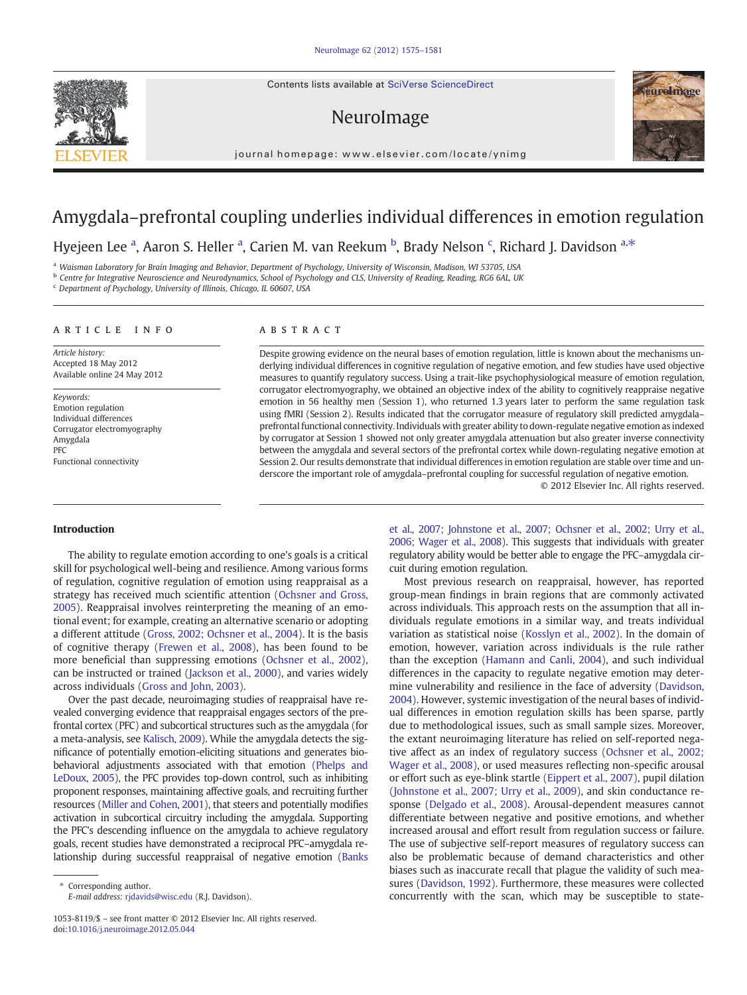Contents lists available at SciVerse ScienceDirect

# NeuroImage





Hyejeen Lee ª, Aaron S. Heller ª, Carien M. van Reekum <sup>b</sup>, Brady Nelson <sup>c</sup>, Richard J. Davidson <sup>a,\*</sup>

a Waisman Laboratory for Brain Imaging and Behavior, Department of Psychology, University of Wisconsin, Madison, WI 53705, USA

b Centre for Integrative Neuroscience and Neurodynamics, School of Psychology and CLS, University of Reading, Reading, RG6 6AL, UK

<sup>c</sup> Department of Psychology, University of Illinois, Chicago, IL 60607, USA

# article info abstract

Article history: Accepted 18 May 2012 Available online 24 May 2012

Keywords: Emotion regulation Individual differences Corrugator electromyography Amygdala PFC Functional connectivity

Despite growing evidence on the neural bases of emotion regulation, little is known about the mechanisms underlying individual differences in cognitive regulation of negative emotion, and few studies have used objective measures to quantify regulatory success. Using a trait-like psychophysiological measure of emotion regulation, corrugator electromyography, we obtained an objective index of the ability to cognitively reappraise negative emotion in 56 healthy men (Session 1), who returned 1.3 years later to perform the same regulation task using fMRI (Session 2). Results indicated that the corrugator measure of regulatory skill predicted amygdala– prefrontal functional connectivity. Individuals with greater ability to down-regulate negative emotion as indexed by corrugator at Session 1 showed not only greater amygdala attenuation but also greater inverse connectivity between the amygdala and several sectors of the prefrontal cortex while down-regulating negative emotion at Session 2. Our results demonstrate that individual differences in emotion regulation are stable over time and underscore the important role of amygdala–prefrontal coupling for successful regulation of negative emotion.

© 2012 Elsevier Inc. All rights reserved.

### Introduction

The ability to regulate emotion according to one's goals is a critical skill for psychological well-being and resilience. Among various forms of regulation, cognitive regulation of emotion using reappraisal as a strategy has received much scientific attention [\(Ochsner and Gross,](#page-6-0) [2005\)](#page-6-0). Reappraisal involves reinterpreting the meaning of an emotional event; for example, creating an alternative scenario or adopting a different attitude [\(Gross, 2002; Ochsner et al., 2004\)](#page-6-0). It is the basis of cognitive therapy ([Frewen et al., 2008\)](#page-6-0), has been found to be more beneficial than suppressing emotions [\(Ochsner et al., 2002](#page-6-0)), can be instructed or trained ([Jackson et al., 2000\)](#page-6-0), and varies widely across individuals [\(Gross and John, 2003\)](#page-6-0).

Over the past decade, neuroimaging studies of reappraisal have revealed converging evidence that reappraisal engages sectors of the prefrontal cortex (PFC) and subcortical structures such as the amygdala (for a meta-analysis, see [Kalisch, 2009](#page-6-0)). While the amygdala detects the significance of potentially emotion-eliciting situations and generates biobehavioral adjustments associated with that emotion [\(Phelps and](#page-6-0) [LeDoux, 2005](#page-6-0)), the PFC provides top-down control, such as inhibiting proponent responses, maintaining affective goals, and recruiting further resources [\(Miller and Cohen, 2001\)](#page-6-0), that steers and potentially modifies activation in subcortical circuitry including the amygdala. Supporting the PFC's descending influence on the amygdala to achieve regulatory goals, recent studies have demonstrated a reciprocal PFC–amygdala relationship during successful reappraisal of negative emotion ([Banks](#page-5-0)

[et al., 2007; Johnstone et al., 2007; Ochsner et al., 2002; Urry et al.,](#page-5-0) [2006; Wager et al., 2008](#page-5-0)). This suggests that individuals with greater regulatory ability would be better able to engage the PFC–amygdala circuit during emotion regulation.

Most previous research on reappraisal, however, has reported group-mean findings in brain regions that are commonly activated across individuals. This approach rests on the assumption that all individuals regulate emotions in a similar way, and treats individual variation as statistical noise [\(Kosslyn et al., 2002](#page-6-0)). In the domain of emotion, however, variation across individuals is the rule rather than the exception ([Hamann and Canli, 2004\)](#page-6-0), and such individual differences in the capacity to regulate negative emotion may determine vulnerability and resilience in the face of adversity ([Davidson,](#page-6-0) [2004\)](#page-6-0). However, systemic investigation of the neural bases of individual differences in emotion regulation skills has been sparse, partly due to methodological issues, such as small sample sizes. Moreover, the extant neuroimaging literature has relied on self-reported negative affect as an index of regulatory success [\(Ochsner et al., 2002;](#page-6-0) [Wager et al., 2008](#page-6-0)), or used measures reflecting non-specific arousal or effort such as eye-blink startle ([Eippert et al., 2007](#page-6-0)), pupil dilation [\(Johnstone et al., 2007; Urry et al., 2009\)](#page-6-0), and skin conductance response [\(Delgado et al., 2008](#page-6-0)). Arousal-dependent measures cannot differentiate between negative and positive emotions, and whether increased arousal and effort result from regulation success or failure. The use of subjective self-report measures of regulatory success can also be problematic because of demand characteristics and other biases such as inaccurate recall that plague the validity of such measures ([Davidson, 1992\)](#page-6-0). Furthermore, these measures were collected concurrently with the scan, which may be susceptible to state-





Corresponding author. E-mail address: [rjdavids@wisc.edu](mailto:rjdavids@wisc.edu) (R.J. Davidson).

<sup>1053-8119/\$</sup> – see front matter © 2012 Elsevier Inc. All rights reserved. doi:[10.1016/j.neuroimage.2012.05.044](http://dx.doi.org/10.1016/j.neuroimage.2012.05.044)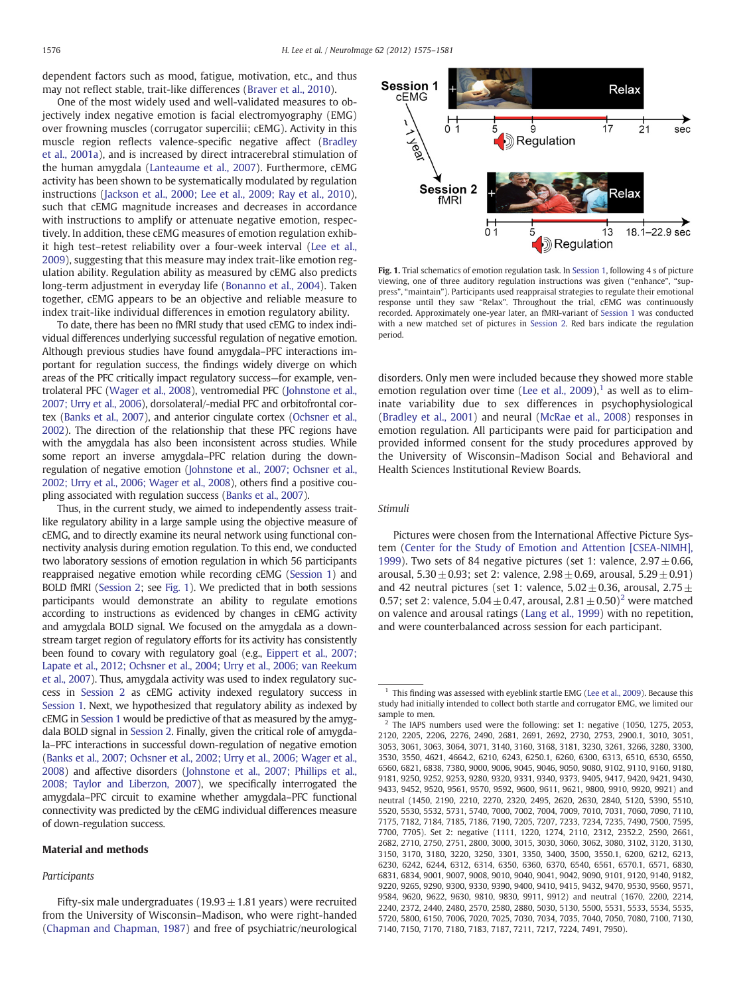<span id="page-1-0"></span>dependent factors such as mood, fatigue, motivation, etc., and thus may not reflect stable, trait-like differences [\(Braver et al., 2010](#page-6-0)).

One of the most widely used and well-validated measures to objectively index negative emotion is facial electromyography (EMG) over frowning muscles (corrugator supercilii; cEMG). Activity in this muscle region reflects valence-specific negative affect [\(Bradley](#page-6-0) [et al., 2001a\)](#page-6-0), and is increased by direct intracerebral stimulation of the human amygdala [\(Lanteaume et al., 2007](#page-6-0)). Furthermore, cEMG activity has been shown to be systematically modulated by regulation instructions [\(Jackson et al., 2000; Lee et al., 2009; Ray et al., 2010](#page-6-0)), such that cEMG magnitude increases and decreases in accordance with instructions to amplify or attenuate negative emotion, respectively. In addition, these cEMG measures of emotion regulation exhibit high test–retest reliability over a four-week interval [\(Lee et al.,](#page-6-0) [2009\)](#page-6-0), suggesting that this measure may index trait-like emotion regulation ability. Regulation ability as measured by cEMG also predicts long-term adjustment in everyday life ([Bonanno et al., 2004](#page-6-0)). Taken together, cEMG appears to be an objective and reliable measure to index trait-like individual differences in emotion regulatory ability.

To date, there has been no fMRI study that used cEMG to index individual differences underlying successful regulation of negative emotion. Although previous studies have found amygdala–PFC interactions important for regulation success, the findings widely diverge on which areas of the PFC critically impact regulatory success—for example, ventrolateral PFC [\(Wager et al., 2008](#page-6-0)), ventromedial PFC [\(Johnstone et al.,](#page-6-0) [2007; Urry et al., 2006\)](#page-6-0), dorsolateral/-medial PFC and orbitofrontal cortex [\(Banks et al., 2007\)](#page-5-0), and anterior cingulate cortex ([Ochsner et al.,](#page-6-0) [2002](#page-6-0)). The direction of the relationship that these PFC regions have with the amygdala has also been inconsistent across studies. While some report an inverse amygdala–PFC relation during the downregulation of negative emotion ([Johnstone et al., 2007; Ochsner et al.,](#page-6-0) [2002; Urry et al., 2006; Wager et al., 2008\)](#page-6-0), others find a positive coupling associated with regulation success [\(Banks et al., 2007\)](#page-5-0).

Thus, in the current study, we aimed to independently assess traitlike regulatory ability in a large sample using the objective measure of cEMG, and to directly examine its neural network using functional connectivity analysis during emotion regulation. To this end, we conducted two laboratory sessions of emotion regulation in which 56 participants reappraised negative emotion while recording cEMG [\(Session 1\)](#page-2-0) and BOLD fMRI [\(Session 2](#page-2-0); see Fig. 1). We predicted that in both sessions participants would demonstrate an ability to regulate emotions according to instructions as evidenced by changes in cEMG activity and amygdala BOLD signal. We focused on the amygdala as a downstream target region of regulatory efforts for its activity has consistently been found to covary with regulatory goal (e.g., [Eippert et al., 2007;](#page-6-0) [Lapate et al., 2012; Ochsner et al., 2004; Urry et al., 2006; van Reekum](#page-6-0) [et al., 2007](#page-6-0)). Thus, amygdala activity was used to index regulatory success in [Session 2](#page-2-0) as cEMG activity indexed regulatory success in [Session 1.](#page-2-0) Next, we hypothesized that regulatory ability as indexed by cEMG in [Session 1](#page-2-0) would be predictive of that as measured by the amygdala BOLD signal in [Session 2.](#page-2-0) Finally, given the critical role of amygdala–PFC interactions in successful down-regulation of negative emotion [\(Banks et al., 2007; Ochsner et al., 2002; Urry et al., 2006; Wager et al.,](#page-5-0) [2008](#page-5-0)) and affective disorders [\(Johnstone et al., 2007; Phillips et al.,](#page-6-0) [2008; Taylor and Liberzon, 2007](#page-6-0)), we specifically interrogated the amygdala–PFC circuit to examine whether amygdala–PFC functional connectivity was predicted by the cEMG individual differences measure of down-regulation success.

# Material and methods

# Participants



Fig. 1. Trial schematics of emotion regulation task. In [Session 1](#page-2-0), following 4 s of picture viewing, one of three auditory regulation instructions was given ("enhance", "suppress", "maintain"). Participants used reappraisal strategies to regulate their emotional response until they saw "Relax". Throughout the trial, cEMG was continuously recorded. Approximately one-year later, an fMRI-variant of [Session 1](#page-2-0) was conducted with a new matched set of pictures in [Session 2](#page-2-0). Red bars indicate the regulation period.

disorders. Only men were included because they showed more stable emotion regulation over time ([Lee et al., 2009\)](#page-6-0),<sup>1</sup> as well as to eliminate variability due to sex differences in psychophysiological [\(Bradley et al., 2001\)](#page-6-0) and neural ([McRae et al., 2008\)](#page-6-0) responses in emotion regulation. All participants were paid for participation and provided informed consent for the study procedures approved by the University of Wisconsin–Madison Social and Behavioral and Health Sciences Institutional Review Boards.

# Stimuli

Pictures were chosen from the International Affective Picture System ([Center for the Study of Emotion and Attention \[CSEA-NIMH\],](#page-6-0) [1999\)](#page-6-0). Two sets of 84 negative pictures (set 1: valence,  $2.97 \pm 0.66$ , arousal,  $5.30 \pm 0.93$ ; set 2: valence,  $2.98 \pm 0.69$ , arousal,  $5.29 \pm 0.91$ ) and 42 neutral pictures (set 1: valence,  $5.02 \pm 0.36$ , arousal,  $2.75 \pm 1.5$ 0.57; set 2: valence,  $5.04 \pm 0.47$ , arousal,  $2.81 \pm 0.50$ <sup>2</sup> were matched on valence and arousal ratings ([Lang et al., 1999](#page-6-0)) with no repetition, and were counterbalanced across session for each participant.

Fifty-six male undergraduates ( $19.93 \pm 1.81$  years) were recruited from the University of Wisconsin–Madison, who were right-handed [\(Chapman and Chapman, 1987](#page-6-0)) and free of psychiatric/neurological

 $1$  This finding was assessed with eyeblink startle EMG [\(Lee et al., 2009](#page-6-0)). Because this study had initially intended to collect both startle and corrugator EMG, we limited our sample to men.

The IAPS numbers used were the following: set 1: negative (1050, 1275, 2053, 2120, 2205, 2206, 2276, 2490, 2681, 2691, 2692, 2730, 2753, 2900.1, 3010, 3051, 3053, 3061, 3063, 3064, 3071, 3140, 3160, 3168, 3181, 3230, 3261, 3266, 3280, 3300, 3530, 3550, 4621, 4664.2, 6210, 6243, 6250.1, 6260, 6300, 6313, 6510, 6530, 6550, 6560, 6821, 6838, 7380, 9000, 9006, 9045, 9046, 9050, 9080, 9102, 9110, 9160, 9180, 9181, 9250, 9252, 9253, 9280, 9320, 9331, 9340, 9373, 9405, 9417, 9420, 9421, 9430, 9433, 9452, 9520, 9561, 9570, 9592, 9600, 9611, 9621, 9800, 9910, 9920, 9921) and neutral (1450, 2190, 2210, 2270, 2320, 2495, 2620, 2630, 2840, 5120, 5390, 5510, 5520, 5530, 5532, 5731, 5740, 7000, 7002, 7004, 7009, 7010, 7031, 7060, 7090, 7110, 7175, 7182, 7184, 7185, 7186, 7190, 7205, 7207, 7233, 7234, 7235, 7490, 7500, 7595, 7700, 7705). Set 2: negative (1111, 1220, 1274, 2110, 2312, 2352.2, 2590, 2661, 2682, 2710, 2750, 2751, 2800, 3000, 3015, 3030, 3060, 3062, 3080, 3102, 3120, 3130, 3150, 3170, 3180, 3220, 3250, 3301, 3350, 3400, 3500, 3550.1, 6200, 6212, 6213, 6230, 6242, 6244, 6312, 6314, 6350, 6360, 6370, 6540, 6561, 6570.1, 6571, 6830, 6831, 6834, 9001, 9007, 9008, 9010, 9040, 9041, 9042, 9090, 9101, 9120, 9140, 9182, 9220, 9265, 9290, 9300, 9330, 9390, 9400, 9410, 9415, 9432, 9470, 9530, 9560, 9571, 9584, 9620, 9622, 9630, 9810, 9830, 9911, 9912) and neutral (1670, 2200, 2214, 2240, 2372, 2440, 2480, 2570, 2580, 2880, 5030, 5130, 5500, 5531, 5533, 5534, 5535, 5720, 5800, 6150, 7006, 7020, 7025, 7030, 7034, 7035, 7040, 7050, 7080, 7100, 7130, 7140, 7150, 7170, 7180, 7183, 7187, 7211, 7217, 7224, 7491, 7950).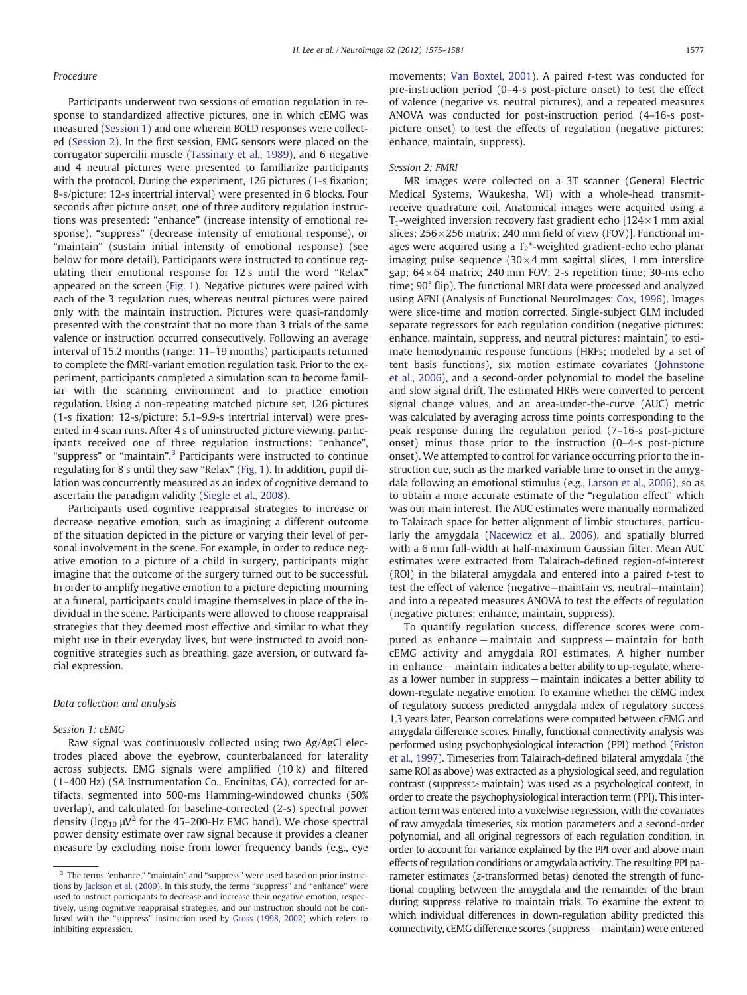# <span id="page-2-0"></span>Procedure

Participants underwent two sessions of emotion regulation in response to standardized affective pictures, one in which cEMG was measured (Session 1) and one wherein BOLD responses were collected (Session 2). In the first session, EMG sensors were placed on the corrugator supercilii muscle [\(Tassinary et al., 1989](#page-6-0)), and 6 negative and 4 neutral pictures were presented to familiarize participants with the protocol. During the experiment, 126 pictures (1-s fixation; 8-s/picture; 12-s intertrial interval) were presented in 6 blocks. Four seconds after picture onset, one of three auditory regulation instructions was presented: "enhance" (increase intensity of emotional response), "suppress" (decrease intensity of emotional response), or "maintain" (sustain initial intensity of emotional response) (see below for more detail). Participants were instructed to continue regulating their emotional response for 12 s until the word "Relax" appeared on the screen [\(Fig. 1](#page-1-0)). Negative pictures were paired with each of the 3 regulation cues, whereas neutral pictures were paired only with the maintain instruction. Pictures were quasi-randomly presented with the constraint that no more than 3 trials of the same valence or instruction occurred consecutively. Following an average interval of 15.2 months (range: 11–19 months) participants returned to complete the fMRI-variant emotion regulation task. Prior to the experiment, participants completed a simulation scan to become familiar with the scanning environment and to practice emotion regulation. Using a non-repeating matched picture set, 126 pictures (1-s fixation; 12-s/picture; 5.1–9.9-s intertrial interval) were presented in 4 scan runs. After 4 s of uninstructed picture viewing, participants received one of three regulation instructions: "enhance", "suppress" or "maintain".<sup>3</sup> Participants were instructed to continue regulating for 8 s until they saw "Relax" [\(Fig. 1](#page-1-0)). In addition, pupil dilation was concurrently measured as an index of cognitive demand to ascertain the paradigm validity [\(Siegle et al., 2008\)](#page-6-0).

Participants used cognitive reappraisal strategies to increase or decrease negative emotion, such as imagining a different outcome of the situation depicted in the picture or varying their level of personal involvement in the scene. For example, in order to reduce negative emotion to a picture of a child in surgery, participants might imagine that the outcome of the surgery turned out to be successful. In order to amplify negative emotion to a picture depicting mourning at a funeral, participants could imagine themselves in place of the individual in the scene. Participants were allowed to choose reappraisal strategies that they deemed most effective and similar to what they might use in their everyday lives, but were instructed to avoid noncognitive strategies such as breathing, gaze aversion, or outward facial expression.

#### Data collection and analysis

# Session 1: cEMG

Raw signal was continuously collected using two Ag/AgCl electrodes placed above the eyebrow, counterbalanced for laterality across subjects. EMG signals were amplified (10 k) and filtered (1–400 Hz) (SA Instrumentation Co., Encinitas, CA), corrected for artifacts, segmented into 500-ms Hamming-windowed chunks (50% overlap), and calculated for baseline-corrected (2-s) spectral power density ( $\log_{10} \mu$ V<sup>2</sup> for the 45–200-Hz EMG band). We chose spectral power density estimate over raw signal because it provides a cleaner measure by excluding noise from lower frequency bands (e.g., eye movements; [Van Boxtel, 2001](#page-6-0)). A paired t-test was conducted for pre-instruction period (0–4-s post-picture onset) to test the effect of valence (negative vs. neutral pictures), and a repeated measures ANOVA was conducted for post-instruction period (4–16-s postpicture onset) to test the effects of regulation (negative pictures: enhance, maintain, suppress).

## Session 2: FMRI

MR images were collected on a 3T scanner (General Electric Medical Systems, Waukesha, WI) with a whole-head transmitreceive quadrature coil. Anatomical images were acquired using a T<sub>1</sub>-weighted inversion recovery fast gradient echo [124 $\times$ 1 mm axial] slices;  $256 \times 256$  matrix; 240 mm field of view (FOV)]. Functional images were acquired using a  $T_2^*$ -weighted gradient-echo echo planar imaging pulse sequence  $(30 \times 4 \text{ mm}$  sagittal slices, 1 mm interslice gap; 64× 64 matrix; 240 mm FOV; 2-s repetition time; 30-ms echo time; 90° flip). The functional MRI data were processed and analyzed using AFNI (Analysis of Functional NeuroImages; [Cox, 1996](#page-6-0)). Images were slice-time and motion corrected. Single-subject GLM included separate regressors for each regulation condition (negative pictures: enhance, maintain, suppress, and neutral pictures: maintain) to estimate hemodynamic response functions (HRFs; modeled by a set of tent basis functions), six motion estimate covariates [\(Johnstone](#page-6-0) [et al., 2006](#page-6-0)), and a second-order polynomial to model the baseline and slow signal drift. The estimated HRFs were converted to percent signal change values, and an area-under-the-curve (AUC) metric was calculated by averaging across time points corresponding to the peak response during the regulation period (7–16-s post-picture onset) minus those prior to the instruction (0–4-s post-picture onset). We attempted to control for variance occurring prior to the instruction cue, such as the marked variable time to onset in the amygdala following an emotional stimulus (e.g., [Larson et al., 2006\)](#page-6-0), so as to obtain a more accurate estimate of the "regulation effect" which was our main interest. The AUC estimates were manually normalized to Talairach space for better alignment of limbic structures, particularly the amygdala [\(Nacewicz et al., 2006\)](#page-6-0), and spatially blurred with a 6 mm full-width at half-maximum Gaussian filter. Mean AUC estimates were extracted from Talairach-defined region-of-interest (ROI) in the bilateral amygdala and entered into a paired t-test to test the effect of valence (negative—maintain vs. neutral—maintain) and into a repeated measures ANOVA to test the effects of regulation (negative pictures: enhance, maintain, suppress).

To quantify regulation success, difference scores were computed as enhance−maintain and suppress−maintain for both cEMG activity and amygdala ROI estimates. A higher number in enhance−maintain indicates a better ability to up-regulate, whereas a lower number in suppress−maintain indicates a better ability to down-regulate negative emotion. To examine whether the cEMG index of regulatory success predicted amygdala index of regulatory success 1.3 years later, Pearson correlations were computed between cEMG and amygdala difference scores. Finally, functional connectivity analysis was performed using psychophysiological interaction (PPI) method [\(Friston](#page-6-0) [et al., 1997](#page-6-0)). Timeseries from Talairach-defined bilateral amygdala (the same ROI as above) was extracted as a physiological seed, and regulation contrast (suppress>maintain) was used as a psychological context, in order to create the psychophysiological interaction term (PPI). This interaction term was entered into a voxelwise regression, with the covariates of raw amygdala timeseries, six motion parameters and a second-order polynomial, and all original regressors of each regulation condition, in order to account for variance explained by the PPI over and above main effects of regulation conditions or amgydala activity. The resulting PPI parameter estimates (z-transformed betas) denoted the strength of functional coupling between the amygdala and the remainder of the brain during suppress relative to maintain trials. To examine the extent to which individual differences in down-regulation ability predicted this connectivity, cEMG difference scores (suppress−maintain) were entered

<sup>&</sup>lt;sup>3</sup> The terms "enhance," "maintain" and "suppress" were used based on prior instructions by [Jackson et al. \(2000\).](#page-6-0) In this study, the terms "suppress" and "enhance" were used to instruct participants to decrease and increase their negative emotion, respectively, using cognitive reappraisal strategies, and our instruction should not be confused with the "suppress" instruction used by [Gross \(1998, 2002\)](#page-6-0) which refers to inhibiting expression.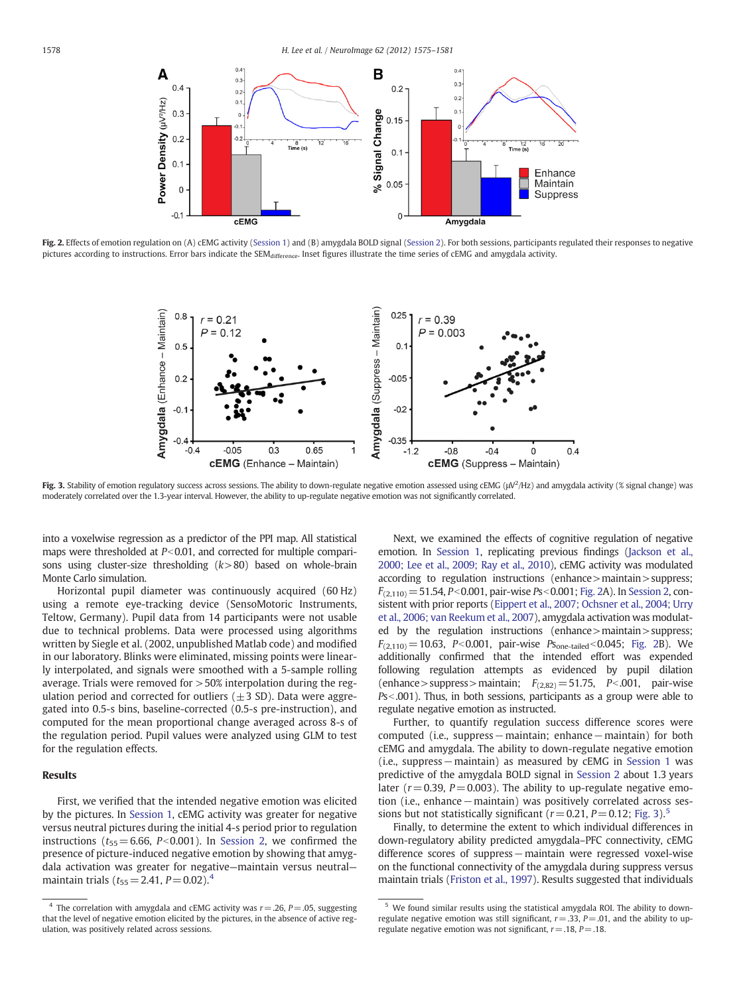

Fig. 2. Effects of emotion regulation on (A) cEMG activity [\(Session 1\)](#page-2-0) and (B) amygdala BOLD signal ([Session 2](#page-2-0)). For both sessions, participants regulated their responses to negative pictures according to instructions. Error bars indicate the SEM<sub>difference</sub>. Inset figures illustrate the time series of cEMG and amygdala activity.



Fig. 3. Stability of emotion regulatory success across sessions. The ability to down-regulate negative emotion assessed using cEMG ( $\mu$ V<sup>2</sup>/Hz) and amygdala activity (% signal change) was moderately correlated over the 1.3-year interval. However, the ability to up-regulate negative emotion was not significantly correlated.

into a voxelwise regression as a predictor of the PPI map. All statistical maps were thresholded at  $P<0.01$ , and corrected for multiple comparisons using cluster-size thresholding  $(k>80)$  based on whole-brain Monte Carlo simulation.

Horizontal pupil diameter was continuously acquired (60 Hz) using a remote eye-tracking device (SensoMotoric Instruments, Teltow, Germany). Pupil data from 14 participants were not usable due to technical problems. Data were processed using algorithms written by Siegle et al. (2002, unpublished Matlab code) and modified in our laboratory. Blinks were eliminated, missing points were linearly interpolated, and signals were smoothed with a 5-sample rolling average. Trials were removed for >50% interpolation during the regulation period and corrected for outliers  $(\pm 3 \text{ SD})$ . Data were aggregated into 0.5-s bins, baseline-corrected (0.5-s pre-instruction), and computed for the mean proportional change averaged across 8-s of the regulation period. Pupil values were analyzed using GLM to test for the regulation effects.

# Results

First, we verified that the intended negative emotion was elicited by the pictures. In [Session 1](#page-2-0), cEMG activity was greater for negative versus neutral pictures during the initial 4-s period prior to regulation instructions ( $t_{55}= 6.66$ , P<0.001). In [Session 2](#page-2-0), we confirmed the presence of picture-induced negative emotion by showing that amygdala activation was greater for negative—maintain versus neutral maintain trials ( $t_{55} = 2.41$ ,  $P = 0.02$ ).<sup>4</sup>

Next, we examined the effects of cognitive regulation of negative emotion. In [Session 1](#page-2-0), replicating previous findings [\(Jackson et al.,](#page-6-0) [2000; Lee et al., 2009; Ray et al., 2010\)](#page-6-0), cEMG activity was modulated according to regulation instructions (enhance>maintain>suppress;  $F_{(2,110)}$  = 51.54, P<0.001, pair-wise Ps<0.001; Fig. 2A). In [Session 2](#page-2-0), consistent with prior reports [\(Eippert et al., 2007; Ochsner et al., 2004; Urry](#page-6-0) [et al., 2006; van Reekum et al., 2007\)](#page-6-0), amygdala activation was modulated by the regulation instructions (enhance>maintain>suppress;  $F_{(2,110)} = 10.63$ , P<0.001, pair-wise Ps<sub>one-tailed</sub> <0.045; Fig. 2B). We additionally confirmed that the intended effort was expended following regulation attempts as evidenced by pupil dilation (enhance > suppress > maintain;  $F_{(2,82)} = 51.75$ ,  $P < .001$ , pair-wise  $Ps<0.001$ ). Thus, in both sessions, participants as a group were able to regulate negative emotion as instructed.

Further, to quantify regulation success difference scores were computed (i.e., suppress−maintain; enhance−maintain) for both cEMG and amygdala. The ability to down-regulate negative emotion (i.e., suppress−maintain) as measured by cEMG in [Session 1](#page-2-0) was predictive of the amygdala BOLD signal in [Session 2](#page-2-0) about 1.3 years later ( $r = 0.39$ ,  $P = 0.003$ ). The ability to up-regulate negative emotion (i.e., enhance−maintain) was positively correlated across sessions but not statistically significant ( $r = 0.21$ ,  $P = 0.12$ ; Fig. 3).<sup>5</sup>

Finally, to determine the extent to which individual differences in down-regulatory ability predicted amygdala–PFC connectivity, cEMG difference scores of suppress−maintain were regressed voxel-wise on the functional connectivity of the amygdala during suppress versus maintain trials [\(Friston et al., 1997\)](#page-6-0). Results suggested that individuals

<sup>&</sup>lt;sup>4</sup> The correlation with amygdala and cEMG activity was  $r = .26$ ,  $P = .05$ , suggesting that the level of negative emotion elicited by the pictures, in the absence of active regulation, was positively related across sessions.

<sup>5</sup> We found similar results using the statistical amygdala ROI. The ability to downregulate negative emotion was still significant,  $r = .33$ ,  $P = .01$ , and the ability to upregulate negative emotion was not significant,  $r = .18$ ,  $P = .18$ .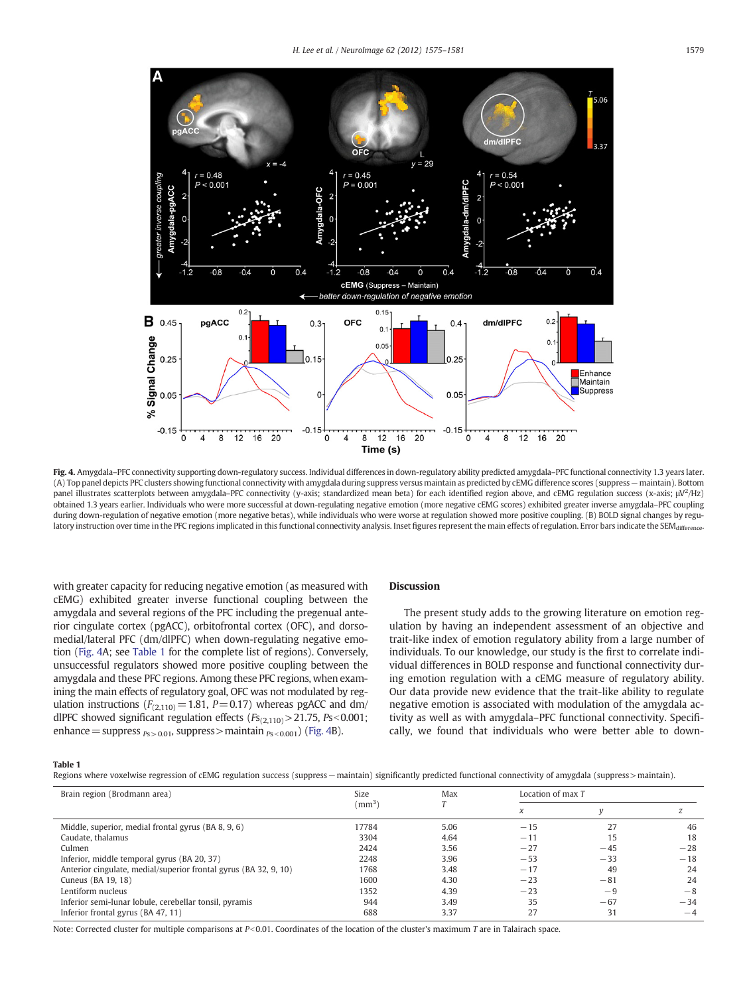

Fig. 4. Amygdala–PFC connectivity supporting down-regulatory success. Individual differences in down-regulatory ability predicted amygdala–PFC functional connectivity 1.3 years later. (A) Top panel depicts PFC clusters showing functional connectivity with amygdala during suppress versus maintain as predicted by cEMG difference scores (suppress−maintain). Bottom panel illustrates scatterplots between amygdala-PFC connectivity (y-axis; standardized mean beta) for each identified region above, and cEMG regulation success (x-axis;  $\mu$ V<sup>2</sup>/Hz) obtained 1.3 years earlier. Individuals who were more successful at down-regulating negative emotion (more negative cEMG scores) exhibited greater inverse amygdala–PFC coupling during down-regulation of negative emotion (more negative betas), while individuals who were worse at regulation showed more positive coupling. (B) BOLD signal changes by regulatory instruction over time in the PFC regions implicated in this functional connectivity analysis. Inset figures represent the main effects of regulation. Error bars indicate the SEMdiffere

with greater capacity for reducing negative emotion (as measured with cEMG) exhibited greater inverse functional coupling between the amygdala and several regions of the PFC including the pregenual anterior cingulate cortex (pgACC), orbitofrontal cortex (OFC), and dorsomedial/lateral PFC (dm/dlPFC) when down-regulating negative emotion (Fig. 4A; see Table 1 for the complete list of regions). Conversely, unsuccessful regulators showed more positive coupling between the amygdala and these PFC regions. Among these PFC regions, when examining the main effects of regulatory goal, OFC was not modulated by regulation instructions ( $F_{(2,110)}$  = 1.81, P = 0.17) whereas pgACC and dm/ dlPFC showed significant regulation effects  $(Fs_{(2,110)} > 21.75, Ps < 0.001;$ enhance = suppress  $_{P_S > 0.01}$ , suppress > maintain  $_{P_S < 0.001}$ ) (Fig. 4B).

# Discussion

The present study adds to the growing literature on emotion regulation by having an independent assessment of an objective and trait-like index of emotion regulatory ability from a large number of individuals. To our knowledge, our study is the first to correlate individual differences in BOLD response and functional connectivity during emotion regulation with a cEMG measure of regulatory ability. Our data provide new evidence that the trait-like ability to regulate negative emotion is associated with modulation of the amygdala activity as well as with amygdala–PFC functional connectivity. Specifically, we found that individuals who were better able to down-

#### Table 1

| Regions where voxelwise regression of cEMG regulation success (suppress - maintain) significantly predicted functional connectivity of amygdala (suppress > maintain). |  |  |
|------------------------------------------------------------------------------------------------------------------------------------------------------------------------|--|--|
|------------------------------------------------------------------------------------------------------------------------------------------------------------------------|--|--|

| Brain region (Brodmann area)                                     | <b>Size</b>       | Max  | Location of max T |       |       |
|------------------------------------------------------------------|-------------------|------|-------------------|-------|-------|
|                                                                  | (mm <sup>3)</sup> |      | X                 |       |       |
| Middle, superior, medial frontal gyrus (BA 8, 9, 6)              | 17784             | 5.06 | $-15$             | 27    | 46    |
| Caudate, thalamus                                                | 3304              | 4.64 | $-11$             | 15    | 18    |
| Culmen                                                           | 2424              | 3.56 | $-27$             | $-45$ | $-28$ |
| Inferior, middle temporal gyrus (BA 20, 37)                      | 2248              | 3.96 | $-53$             | $-33$ | $-18$ |
| Anterior cingulate, medial/superior frontal gyrus (BA 32, 9, 10) | 1768              | 3.48 | $-17$             | 49    | 24    |
| Cuneus (BA 19, 18)                                               | 1600              | 4.30 | $-23$             | $-81$ | 24    |
| Lentiform nucleus                                                | 1352              | 4.39 | $-23$             | -9    | $-8$  |
| Inferior semi-lunar lobule, cerebellar tonsil, pyramis           | 944               | 3.49 | 35                | $-67$ | $-34$ |
| Inferior frontal gyrus (BA 47, 11)                               | 688               | 3.37 | 27                | 31    | $-4$  |

Note: Corrected cluster for multiple comparisons at  $P<0.01$ . Coordinates of the location of the cluster's maximum T are in Talairach space.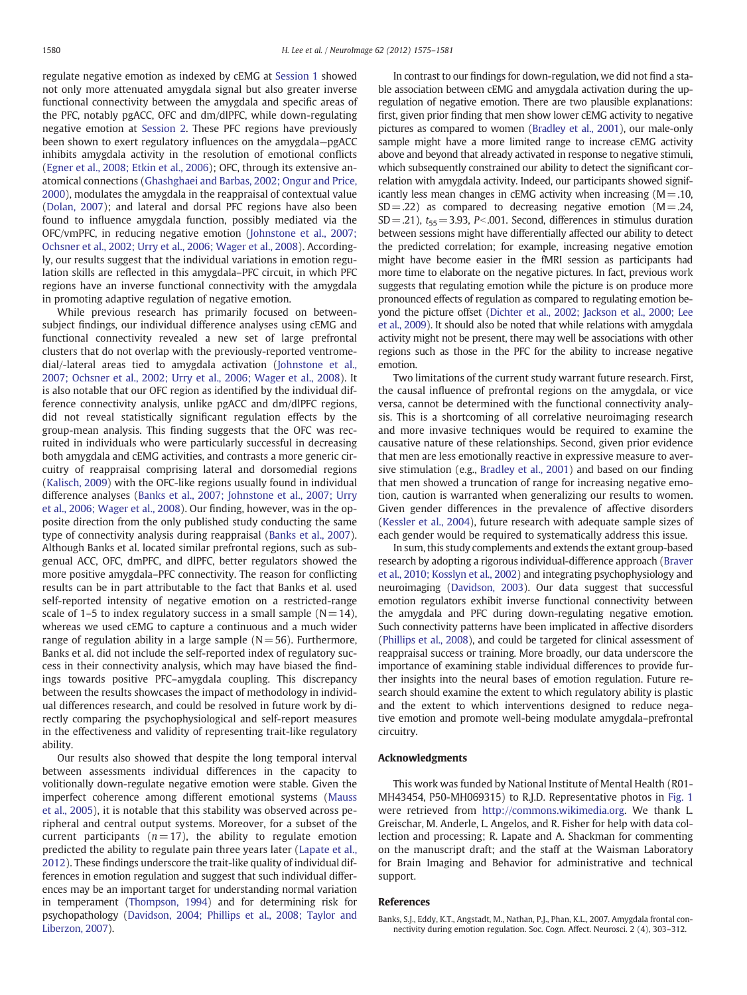<span id="page-5-0"></span>regulate negative emotion as indexed by cEMG at [Session 1](#page-2-0) showed not only more attenuated amygdala signal but also greater inverse functional connectivity between the amygdala and specific areas of the PFC, notably pgACC, OFC and dm/dlPFC, while down-regulating negative emotion at [Session 2](#page-2-0). These PFC regions have previously been shown to exert regulatory influences on the amygdala—pgACC inhibits amygdala activity in the resolution of emotional conflicts [\(Egner et al., 2008; Etkin et al., 2006](#page-6-0)); OFC, through its extensive anatomical connections ([Ghashghaei and Barbas, 2002; Ongur and Price,](#page-6-0) [2000\)](#page-6-0), modulates the amygdala in the reappraisal of contextual value [\(Dolan, 2007](#page-6-0)); and lateral and dorsal PFC regions have also been found to influence amygdala function, possibly mediated via the OFC/vmPFC, in reducing negative emotion ([Johnstone et al., 2007;](#page-6-0) [Ochsner et al., 2002; Urry et al., 2006; Wager et al., 2008\)](#page-6-0). Accordingly, our results suggest that the individual variations in emotion regulation skills are reflected in this amygdala–PFC circuit, in which PFC regions have an inverse functional connectivity with the amygdala in promoting adaptive regulation of negative emotion.

While previous research has primarily focused on betweensubject findings, our individual difference analyses using cEMG and functional connectivity revealed a new set of large prefrontal clusters that do not overlap with the previously-reported ventromedial/-lateral areas tied to amygdala activation [\(Johnstone et al.,](#page-6-0) [2007; Ochsner et al., 2002; Urry et al., 2006; Wager et al., 2008](#page-6-0)). It is also notable that our OFC region as identified by the individual difference connectivity analysis, unlike pgACC and dm/dlPFC regions, did not reveal statistically significant regulation effects by the group-mean analysis. This finding suggests that the OFC was recruited in individuals who were particularly successful in decreasing both amygdala and cEMG activities, and contrasts a more generic circuitry of reappraisal comprising lateral and dorsomedial regions [\(Kalisch, 2009](#page-6-0)) with the OFC-like regions usually found in individual difference analyses (Banks et al., 2007; Johnstone et al., 2007; Urry et al., 2006; Wager et al., 2008). Our finding, however, was in the opposite direction from the only published study conducting the same type of connectivity analysis during reappraisal (Banks et al., 2007). Although Banks et al. located similar prefrontal regions, such as subgenual ACC, OFC, dmPFC, and dlPFC, better regulators showed the more positive amygdala–PFC connectivity. The reason for conflicting results can be in part attributable to the fact that Banks et al. used self-reported intensity of negative emotion on a restricted-range scale of 1–5 to index regulatory success in a small sample  $(N= 14)$ , whereas we used cEMG to capture a continuous and a much wider range of regulation ability in a large sample  $(N= 56)$ . Furthermore, Banks et al. did not include the self-reported index of regulatory success in their connectivity analysis, which may have biased the findings towards positive PFC–amygdala coupling. This discrepancy between the results showcases the impact of methodology in individual differences research, and could be resolved in future work by directly comparing the psychophysiological and self-report measures in the effectiveness and validity of representing trait-like regulatory ability.

Our results also showed that despite the long temporal interval between assessments individual differences in the capacity to volitionally down-regulate negative emotion were stable. Given the imperfect coherence among different emotional systems ([Mauss](#page-6-0) [et al., 2005](#page-6-0)), it is notable that this stability was observed across peripheral and central output systems. Moreover, for a subset of the current participants  $(n= 17)$ , the ability to regulate emotion predicted the ability to regulate pain three years later ([Lapate et al.,](#page-6-0) [2012](#page-6-0)). These findings underscore the trait-like quality of individual differences in emotion regulation and suggest that such individual differences may be an important target for understanding normal variation in temperament [\(Thompson, 1994](#page-6-0)) and for determining risk for psychopathology ([Davidson, 2004; Phillips et al., 2008; Taylor and](#page-6-0) [Liberzon, 2007](#page-6-0)).

In contrast to our findings for down-regulation, we did not find a stable association between cEMG and amygdala activation during the upregulation of negative emotion. There are two plausible explanations: first, given prior finding that men show lower cEMG activity to negative pictures as compared to women ([Bradley et al., 2001\)](#page-6-0), our male-only sample might have a more limited range to increase cEMG activity above and beyond that already activated in response to negative stimuli, which subsequently constrained our ability to detect the significant correlation with amygdala activity. Indeed, our participants showed significantly less mean changes in cEMG activity when increasing  $(M=.10,$  $SD = .22$ ) as compared to decreasing negative emotion (M = .24,  $SD = .21$ ),  $t_{55} = 3.93$ , P<.001. Second, differences in stimulus duration between sessions might have differentially affected our ability to detect the predicted correlation; for example, increasing negative emotion might have become easier in the fMRI session as participants had more time to elaborate on the negative pictures. In fact, previous work suggests that regulating emotion while the picture is on produce more pronounced effects of regulation as compared to regulating emotion beyond the picture offset ([Dichter et al., 2002; Jackson et al., 2000; Lee](#page-6-0) [et al., 2009\)](#page-6-0). It should also be noted that while relations with amygdala activity might not be present, there may well be associations with other regions such as those in the PFC for the ability to increase negative emotion.

Two limitations of the current study warrant future research. First, the causal influence of prefrontal regions on the amygdala, or vice versa, cannot be determined with the functional connectivity analysis. This is a shortcoming of all correlative neuroimaging research and more invasive techniques would be required to examine the causative nature of these relationships. Second, given prior evidence that men are less emotionally reactive in expressive measure to aversive stimulation (e.g., [Bradley et al., 2001\)](#page-6-0) and based on our finding that men showed a truncation of range for increasing negative emotion, caution is warranted when generalizing our results to women. Given gender differences in the prevalence of affective disorders [\(Kessler et al., 2004\)](#page-6-0), future research with adequate sample sizes of each gender would be required to systematically address this issue.

In sum, this study complements and extends the extant group-based research by adopting a rigorous individual-difference approach ([Braver](#page-6-0) [et al., 2010; Kosslyn et al., 2002](#page-6-0)) and integrating psychophysiology and neuroimaging ([Davidson, 2003](#page-6-0)). Our data suggest that successful emotion regulators exhibit inverse functional connectivity between the amygdala and PFC during down-regulating negative emotion. Such connectivity patterns have been implicated in affective disorders [\(Phillips et al., 2008](#page-6-0)), and could be targeted for clinical assessment of reappraisal success or training. More broadly, our data underscore the importance of examining stable individual differences to provide further insights into the neural bases of emotion regulation. Future research should examine the extent to which regulatory ability is plastic and the extent to which interventions designed to reduce negative emotion and promote well-being modulate amygdala–prefrontal circuitry.

#### Acknowledgments

This work was funded by National Institute of Mental Health (R01- MH43454, P50-MH069315) to R.J.D. Representative photos in [Fig. 1](#page-1-0) were retrieved from [http://commons.wikimedia.org.](http://commons.wikimedia.org) We thank L. Greischar, M. Anderle, L. Angelos, and R. Fisher for help with data collection and processing; R. Lapate and A. Shackman for commenting on the manuscript draft; and the staff at the Waisman Laboratory for Brain Imaging and Behavior for administrative and technical support.

# References

Banks, S.J., Eddy, K.T., Angstadt, M., Nathan, P.J., Phan, K.L., 2007. Amygdala frontal connectivity during emotion regulation. Soc. Cogn. Affect. Neurosci. 2 (4), 303–312.